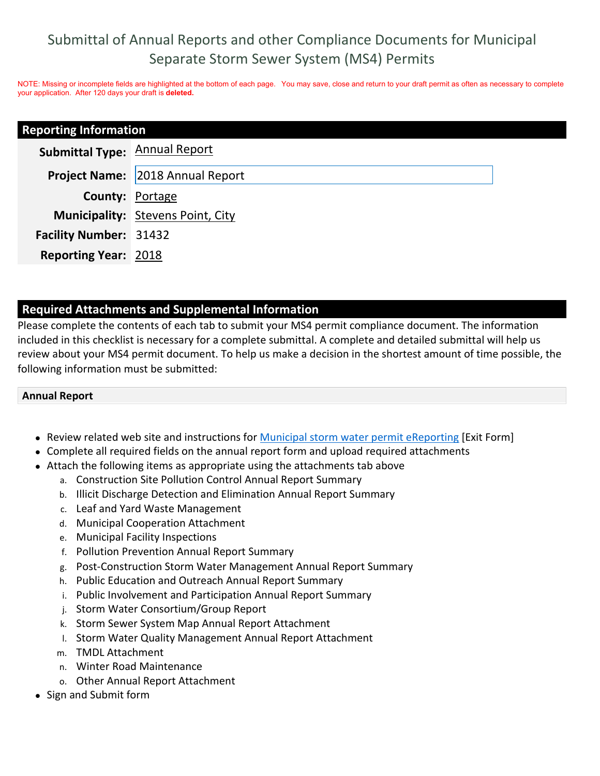# Submittal of Annual Reports and other Compliance Documents for Municipal Separate Storm Sewer System (MS4) Permits

NOTE: Missing or incomplete fields are highlighted at the bottom of each page. You may save, close and return to your draft permit as often as necessary to complete your application. After 120 days your draft is **deleted.**

| <b>Reporting Information</b>         |                                          |  |
|--------------------------------------|------------------------------------------|--|
| <b>Submittal Type: Annual Report</b> |                                          |  |
|                                      | <b>Project Name:</b> 2018 Annual Report  |  |
| <b>County: Portage</b>               |                                          |  |
|                                      | <b>Municipality:</b> Stevens Point, City |  |
| <b>Facility Number: 31432</b>        |                                          |  |
| <b>Reporting Year: 2018</b>          |                                          |  |

### **Required Attachments and Supplemental Information**

Please complete the contents of each tab to submit your MS4 permit compliance document. The information included in this checklist is necessary for a complete submittal. A complete and detailed submittal will help us review about your MS4 permit document. To help us make a decision in the shortest amount of time possible, the following information must be submitted:

#### **Annual Report**

- Review related web site and instructions for Municipal storm water permit eReporting [Exit Form]
- Complete all required fields on the annual report form and upload required attachments
- Attach the following items as appropriate using the attachments tab above
	- a. Construction Site Pollution Control Annual Report Summary
	- b. Illicit Discharge Detection and Elimination Annual Report Summary
	- c. Leaf and Yard Waste Management
	- d. Municipal Cooperation Attachment
	- e. Municipal Facility Inspections
	- f. Pollution Prevention Annual Report Summary
	- g. Post-Construction Storm Water Management Annual Report Summary
	- h. Public Education and Outreach Annual Report Summary
	- i. Public Involvement and Participation Annual Report Summary
	- j. Storm Water Consortium/Group Report
	- k. Storm Sewer System Map Annual Report Attachment
	- l. Storm Water Quality Management Annual Report Attachment
	- m. TMDL Attachment
	- n. Winter Road Maintenance
	- o. Other Annual Report Attachment
- Sign and Submit form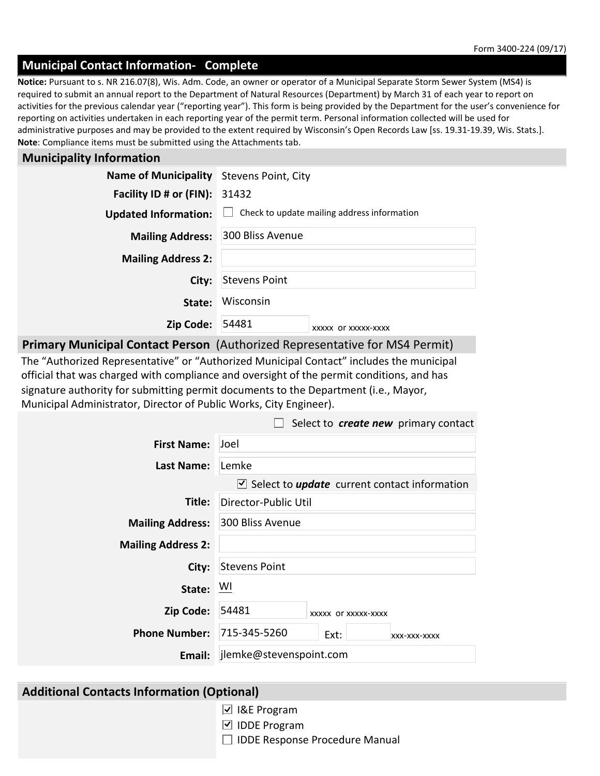#### **Municipal Contact Information- Complete**

**Note**: Compliance items must be submitted using the Attachments tab. **Notice:** Pursuant to s. NR 216.07(8), Wis. Adm. Code, an owner or operator of a Municipal Separate Storm Sewer System (MS4) is required to submit an annual report to the Department of Natural Resources (Department) by March 31 of each year to report on activities for the previous calendar year ("reporting year"). This form is being provided by the Department for the user's convenience for reporting on activities undertaken in each reporting year of the permit term. Personal information collected will be used for administrative purposes and may be provided to the extent required by Wisconsin's Open Records Law [ss. 19.31-19.39, Wis. Stats.].

#### **Municipality Information**

| Name of Municipality Stevens Point, City |                                             |  |  |
|------------------------------------------|---------------------------------------------|--|--|
| Facility ID # or (FIN):                  | 31432                                       |  |  |
| <b>Updated Information:</b>              | Check to update mailing address information |  |  |
| <b>Mailing Address:</b>                  | 300 Bliss Avenue                            |  |  |
| <b>Mailing Address 2:</b>                |                                             |  |  |
| City:                                    | <b>Stevens Point</b>                        |  |  |
| State:                                   | Wisconsin                                   |  |  |
| Zip Code:                                | 54481<br>XXXXX OF XXXXX-XXXX                |  |  |
|                                          |                                             |  |  |

**Primary Municipal Contact Person** (Authorized Representative for MS4 Permit)

The "Authorized Representative" or "Authorized Municipal Contact" includes the municipal official that was charged with compliance and oversight of the permit conditions, and has signature authority for submitting permit documents to the Department (i.e., Mayor, Municipal Administrator, Director of Public Works, City Engineer).

|                            | Select to create new primary contact                                |  |  |
|----------------------------|---------------------------------------------------------------------|--|--|
| <b>First Name:</b>         | <b>Joel</b>                                                         |  |  |
| <b>Last Name:</b>          | Lemke                                                               |  |  |
|                            | $\triangledown$ Select to <b>update</b> current contact information |  |  |
| Title:                     | Director-Public Util                                                |  |  |
| <b>Mailing Address:</b>    | 300 Bliss Avenue                                                    |  |  |
| <b>Mailing Address 2:</b>  |                                                                     |  |  |
| City:                      | <b>Stevens Point</b>                                                |  |  |
| State:                     | - WI                                                                |  |  |
| Zip Code:                  | 54481<br>XXXXX OF XXXXX-XXXX                                        |  |  |
| Phone Number: 715-345-5260 | Ext:<br>XXX-XXX-XXXX                                                |  |  |
| Email:                     | jlemke@stevenspoint.com                                             |  |  |

#### **Additional Contacts Information (Optional)**

- **□ I&E Program**
- IDDE Program
- $\Box$  IDDE Response Procedure Manual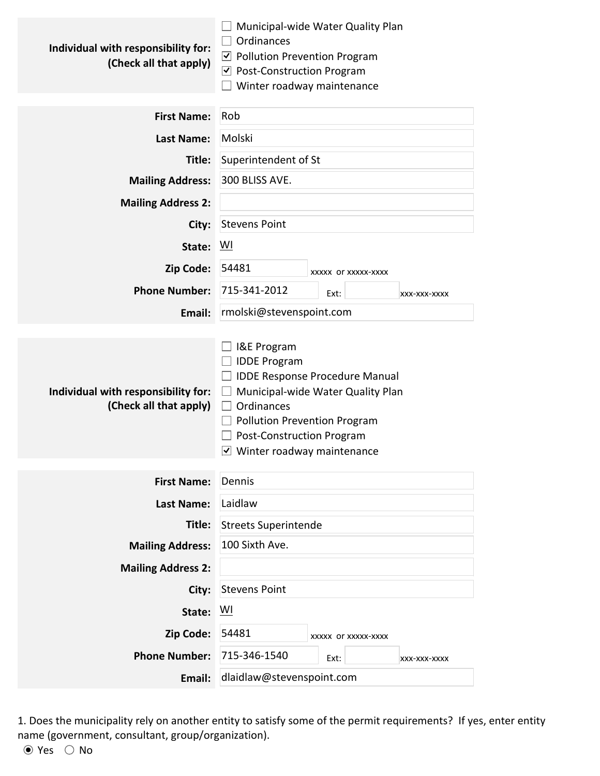| Individual with responsibility for:<br>(Check all that apply) | Municipal-wide Water Quality Plan<br>Ordinances<br>$\vee$ Pollution Prevention Program<br>$\triangledown$ Post-Construction Program<br>Winter roadway maintenance                                                                                |  |  |
|---------------------------------------------------------------|--------------------------------------------------------------------------------------------------------------------------------------------------------------------------------------------------------------------------------------------------|--|--|
| <b>First Name:</b>                                            | Rob                                                                                                                                                                                                                                              |  |  |
| <b>Last Name:</b>                                             | Molski                                                                                                                                                                                                                                           |  |  |
| Title:                                                        | Superintendent of St                                                                                                                                                                                                                             |  |  |
| <b>Mailing Address:</b>                                       | 300 BLISS AVE.                                                                                                                                                                                                                                   |  |  |
| <b>Mailing Address 2:</b>                                     |                                                                                                                                                                                                                                                  |  |  |
| City:                                                         | <b>Stevens Point</b>                                                                                                                                                                                                                             |  |  |
| State:                                                        | WI                                                                                                                                                                                                                                               |  |  |
| Zip Code:                                                     | 54481<br>XXXXX OF XXXXX-XXXX                                                                                                                                                                                                                     |  |  |
| <b>Phone Number:</b>                                          | 715-341-2012<br>Ext:<br>XXX-XXX-XXXX                                                                                                                                                                                                             |  |  |
| Email:                                                        | rmolski@stevenspoint.com                                                                                                                                                                                                                         |  |  |
| Individual with responsibility for:<br>(Check all that apply) | I&E Program<br><b>IDDE Program</b><br><b>IDDE Response Procedure Manual</b><br>Municipal-wide Water Quality Plan<br>Ordinances<br>Pollution Prevention Program<br><b>Post-Construction Program</b><br>$\triangledown$ Winter roadway maintenance |  |  |
| <b>First Name:</b>                                            | Dennis                                                                                                                                                                                                                                           |  |  |
| <b>Last Name:</b>                                             | Laidlaw                                                                                                                                                                                                                                          |  |  |
| Title:                                                        | <b>Streets Superintende</b>                                                                                                                                                                                                                      |  |  |
| <b>Mailing Address:</b>                                       | 100 Sixth Ave.                                                                                                                                                                                                                                   |  |  |
| <b>Mailing Address 2:</b>                                     |                                                                                                                                                                                                                                                  |  |  |
| City:                                                         | <b>Stevens Point</b>                                                                                                                                                                                                                             |  |  |
| State:                                                        | $\underline{W}$                                                                                                                                                                                                                                  |  |  |
| Zip Code:                                                     | 54481<br>XXXXX OF XXXXX-XXXX                                                                                                                                                                                                                     |  |  |
| <b>Phone Number:</b>                                          | 715-346-1540<br>Ext:<br>XXX-XXX-XXXX                                                                                                                                                                                                             |  |  |
| Email:                                                        | dlaidlaw@stevenspoint.com                                                                                                                                                                                                                        |  |  |

1. Does the municipality rely on another entity to satisfy some of the permit requirements? If yes, enter entity name (government, consultant, group/organization).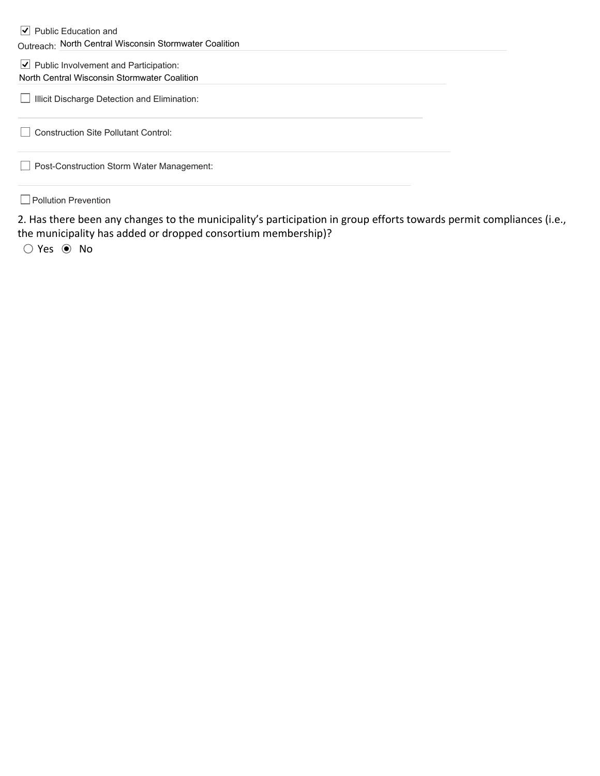#### $\vert \blacktriangleleft \vert$  Public Education and Outreach: North Central Wisconsin Stormwater Coalition

#### $\vert \blacktriangleleft \vert$  Public Involvement and Participation: North Central Wisconsin Stormwater Coalition

**Illicit Discharge Detection and Elimination:** 

Construction Site Pollutant Control:

**Post-Construction Storm Water Management:** 

**Pollution Prevention** 

2. Has there been any changes to the municipality's participation in group efforts towards permit compliances (i.e., the municipality has added or dropped consortium membership)?

○ Yes ● No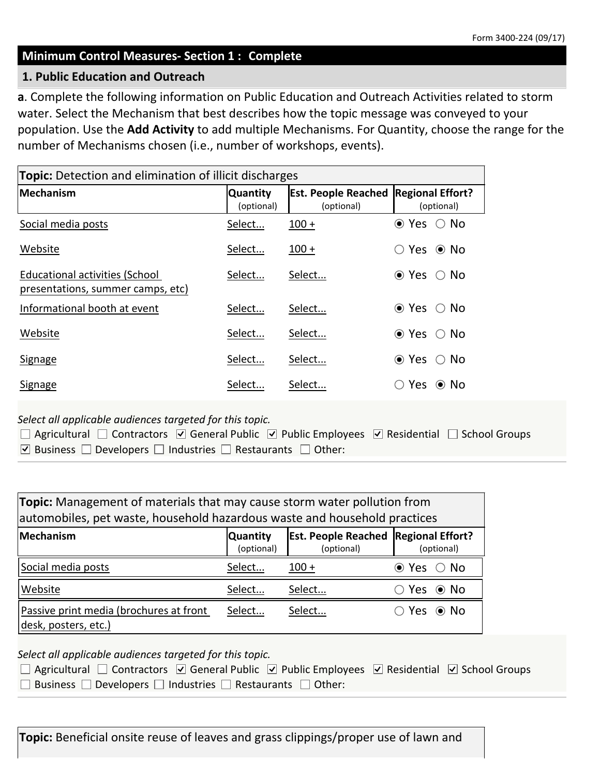#### **Minimum Control Measures- Section 1 : Complete**

#### **1. Public Education and Outreach**

**a**. Complete the following information on Public Education and Outreach Activities related to storm water. Select the Mechanism that best describes how the topic message was conveyed to your population. Use the **Add Activity** to add multiple Mechanisms. For Quantity, choose the range for the number of Mechanisms chosen (i.e., number of workshops, events).

| <b>Topic:</b> Detection and elimination of illicit discharges              |                               |                                          |                                       |  |
|----------------------------------------------------------------------------|-------------------------------|------------------------------------------|---------------------------------------|--|
| <b>Mechanism</b>                                                           | <b>Quantity</b><br>(optional) | <b>Est. People Reached</b><br>(optional) | <b>Regional Effort?</b><br>(optional) |  |
| Social media posts                                                         | Select                        | $100 +$                                  | ⊙ Yes<br>$\bigcirc$ No                |  |
| Website                                                                    | Select                        | $100 +$                                  | Yes $\odot$ No                        |  |
| <b>Educational activities (School</b><br>presentations, summer camps, etc) | Select                        | Select                                   | $\bullet$ Yes<br>∴ No                 |  |
| Informational booth at event                                               | Select                        | Select                                   | $\bullet$ Yes<br>No.<br>( )           |  |
| Website                                                                    | Select                        | Select                                   | ⊙ Yes<br>$\circ$ No                   |  |
| Signage                                                                    | Select                        | Select                                   | $\bullet$ Yes<br>$\bigcirc$ No        |  |
| Signage                                                                    | Select                        | Select                                   | Yes ◉ No                              |  |

*Select all applicable audiences targeted for this topic.*

| $\Box$ Agricultural $\Box$ Contractors $\Box$ General Public $\Box$ Public Employees $\Box$ Residential $\Box$ School Groups |  |
|------------------------------------------------------------------------------------------------------------------------------|--|
| ○ Business $\Box$ Developers $\Box$ Industries $\Box$ Restaurants $\Box$ Other:                                              |  |

| <b>Topic:</b> Management of materials that may cause storm water pollution from<br>automobiles, pet waste, household hazardous waste and household practices |        |         |                        |  |  |
|--------------------------------------------------------------------------------------------------------------------------------------------------------------|--------|---------|------------------------|--|--|
| <b>Est. People Reached Regional Effort?</b><br>Mechanism<br><b>Quantity</b><br>(optional)<br>(optional)<br>(optional)                                        |        |         |                        |  |  |
| Social media posts                                                                                                                                           | Select | $100 +$ | $\odot$ Yes $\odot$ No |  |  |
| Website                                                                                                                                                      | Select | Select  | Yes ◉ No               |  |  |
| Passive print media (brochures at front<br>Select<br>Select<br>Yes ◉ No<br>desk, posters, etc.)                                                              |        |         |                        |  |  |

*Select all applicable audiences targeted for this topic.*

| $\Box$ Agricultural $\Box$ Contractors $\Box$ General Public $\Box$ Public Employees $\Box$ Residential $\Box$ School Groups |  |  |
|------------------------------------------------------------------------------------------------------------------------------|--|--|
| $\Box$ Business $\Box$ Developers $\Box$ Industries $\Box$ Restaurants $\Box$ Other:                                         |  |  |

**Topic:** Beneficial onsite reuse of leaves and grass clippings/proper use of lawn and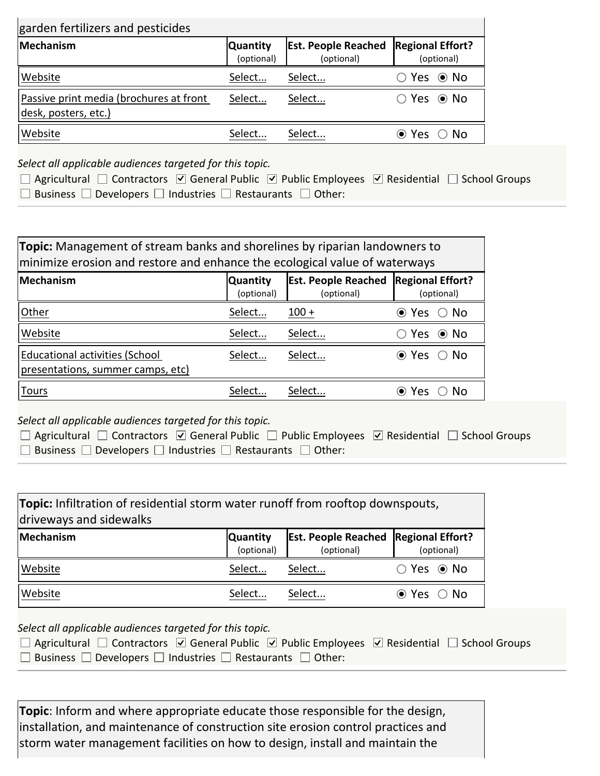| garden fertilizers and pesticides                               |                               |                                          |                                       |  |
|-----------------------------------------------------------------|-------------------------------|------------------------------------------|---------------------------------------|--|
| Mechanism                                                       | <b>Quantity</b><br>(optional) | <b>Est. People Reached</b><br>(optional) | <b>Regional Effort?</b><br>(optional) |  |
| Website                                                         | Select                        | Select                                   | $\bigcirc$ Yes $\bigcirc$ No          |  |
| Passive print media (brochures at front<br>desk, posters, etc.) | Select                        | Select                                   | $\bigcirc$ Yes $\bigcirc$ No          |  |
| Website                                                         | Select                        | Select                                   | $\bullet$ Yes $\circ$ No              |  |

*Select all applicable audiences targeted for this topic.*

| $\Box$ Agricultural $\Box$ Contractors $\Box$ General Public $\Box$ Public Employees $\Box$ Residential $\Box$ School Groups |  |
|------------------------------------------------------------------------------------------------------------------------------|--|
| $\Box$ Business $\Box$ Developers $\Box$ Industries $\Box$ Restaurants $\Box$ Other:                                         |  |

| <b>Topic:</b> Management of stream banks and shorelines by riparian landowners to<br>minimize erosion and restore and enhance the ecological value of waterways |        |         |                              |  |
|-----------------------------------------------------------------------------------------------------------------------------------------------------------------|--------|---------|------------------------------|--|
| <b>Est. People Reached</b><br><b>Regional Effort?</b><br>Mechanism<br><b>Quantity</b><br>(optional)<br>(optional)<br>(optional)                                 |        |         |                              |  |
| Other                                                                                                                                                           | Select | $100 +$ | $\odot$ Yes<br>$\bigcirc$ No |  |
| Website                                                                                                                                                         | Select | Select  | $\odot$ No<br>Yes            |  |
| <b>Educational activities (School</b><br>presentations, summer camps, etc)                                                                                      | Select | Select  | ⊢No<br>$\odot$ Yes           |  |
| <u>Tours</u>                                                                                                                                                    | Select | Select  | Nο<br>Yes                    |  |

*Select all applicable audiences targeted for this topic.*

| $\Box$ Agricultural $\Box$ Contractors $\Box$ General Public $\Box$ Public Employees $\Box$ Residential $\Box$ School Groups |  |
|------------------------------------------------------------------------------------------------------------------------------|--|
| $\Box$ Business $\Box$ Developers $\Box$ Industries $\Box$ Restaurants $\Box$ Other:                                         |  |

| <b>Topic:</b> Infiltration of residential storm water runoff from rooftop downspouts,<br>driveways and sidewalks |                               |                                                           |                        |  |  |
|------------------------------------------------------------------------------------------------------------------|-------------------------------|-----------------------------------------------------------|------------------------|--|--|
| Mechanism                                                                                                        | <b>Quantity</b><br>(optional) | <b>Est. People Reached Regional Effort?</b><br>(optional) | (optional)             |  |  |
| Website                                                                                                          | Select                        | Select                                                    |                        |  |  |
| Website                                                                                                          | Select                        | Select                                                    | $\odot$ Yes $\odot$ No |  |  |

*Select all applicable audiences targeted for this topic.*

| $\Box$ Agricultural $\Box$ Contractors $\Box$ General Public $\Box$ Public Employees $\Box$ Residential $\Box$ School Groups |  |  |
|------------------------------------------------------------------------------------------------------------------------------|--|--|
| $\Box$ Business $\Box$ Developers $\Box$ Industries $\Box$ Restaurants $\Box$ Other:                                         |  |  |

**Topic**: Inform and where appropriate educate those responsible for the design, installation, and maintenance of construction site erosion control practices and storm water management facilities on how to design, install and maintain the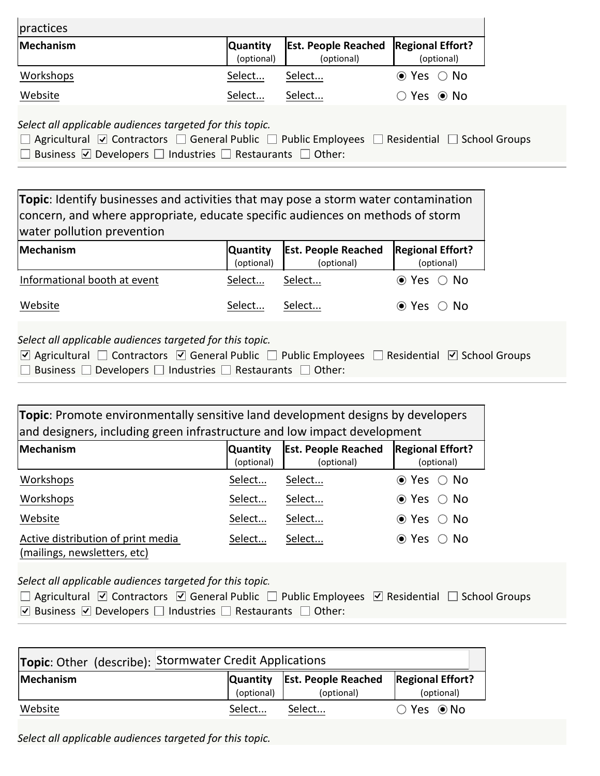| practices |                               |                                                           |                        |
|-----------|-------------------------------|-----------------------------------------------------------|------------------------|
| Mechanism | <b>Quantity</b><br>(optional) | <b>Est. People Reached Regional Effort?</b><br>(optional) | (optional)             |
| Workshops | Select                        | Select                                                    | $\odot$ Yes $\odot$ No |
| Website   | Select                        | Select                                                    |                        |

*Select all applicable audiences targeted for this topic.*

| $\Box$ Agricultural $\Box$ Contractors $\Box$ General Public $\Box$ Public Employees $\Box$ Residential $\Box$ School Groups |  |
|------------------------------------------------------------------------------------------------------------------------------|--|
| □ Business $\Box$ Developers □ Industries □ Restaurants □ Other:                                                             |  |

| Topic: Identify businesses and activities that may pose a storm water contamination<br>concern, and where appropriate, educate specific audiences on methods of storm<br>water pollution prevention |                               |                                          |                                       |  |  |  |
|-----------------------------------------------------------------------------------------------------------------------------------------------------------------------------------------------------|-------------------------------|------------------------------------------|---------------------------------------|--|--|--|
| Mechanism                                                                                                                                                                                           | <b>Quantity</b><br>(optional) | <b>Est. People Reached</b><br>(optional) | <b>Regional Effort?</b><br>(optional) |  |  |  |
| Informational booth at event                                                                                                                                                                        | Select                        | Select                                   | $\odot$ Yes $\odot$ No                |  |  |  |
| Website<br>Select<br>Select<br>$\odot$ Yes $\odot$ No                                                                                                                                               |                               |                                          |                                       |  |  |  |
|                                                                                                                                                                                                     |                               |                                          |                                       |  |  |  |

*Select all applicable audiences targeted for this topic.*

| $\triangledown$ Agricultural $\Box$ Contractors $\triangledown$ General Public $\Box$ Public Employees $\Box$ Residential $\triangledown$ School Groups |  |
|---------------------------------------------------------------------------------------------------------------------------------------------------------|--|
| $\Box$ Business $\Box$ Developers $\Box$ Industries $\Box$ Restaurants $\Box$ Other:                                                                    |  |

| <b>Topic:</b> Promote environmentally sensitive land development designs by developers<br>and designers, including green infrastructure and low impact development |                               |                                          |                                       |  |  |
|--------------------------------------------------------------------------------------------------------------------------------------------------------------------|-------------------------------|------------------------------------------|---------------------------------------|--|--|
| <b>Mechanism</b>                                                                                                                                                   | <b>Quantity</b><br>(optional) | <b>Est. People Reached</b><br>(optional) | <b>Regional Effort?</b><br>(optional) |  |  |
| Workshops                                                                                                                                                          | Select                        | Select                                   | $\bigcirc$ No<br>$\bullet$ Yes        |  |  |
| Workshops                                                                                                                                                          | Select                        | Select                                   | $\odot$ Yes $\odot$<br>- No           |  |  |
| Website                                                                                                                                                            | Select                        | Select                                   | $\odot$ Yes<br>No.<br>( )             |  |  |
| Active distribution of print media<br>(mailings, newsletters, etc)                                                                                                 | Select                        | Select                                   | - No<br>$\odot$ Yes                   |  |  |

*Select all applicable audiences targeted for this topic.*

|  |                                                             | $\Box$ Agricultural $\Box$ Contractors $\Box$ General Public $\Box$ Public Employees $\Box$ Residential $\Box$ School Groups |  |
|--|-------------------------------------------------------------|------------------------------------------------------------------------------------------------------------------------------|--|
|  | ○ Business ○ Developers □ Industries □ Restaurants □ Other: |                                                                                                                              |  |

| Topic: Other (describe): Stormwater Credit Applications                                                                 |        |        |                              |  |
|-------------------------------------------------------------------------------------------------------------------------|--------|--------|------------------------------|--|
| Quantity   Est. People Reached<br><b>Regional Effort?</b><br><b>Mechanism</b><br>(optional)<br>(optional)<br>(optional) |        |        |                              |  |
| Website                                                                                                                 | Select | Select | $\bigcirc$ Yes $\bigcirc$ No |  |

*Select all applicable audiences targeted for this topic.*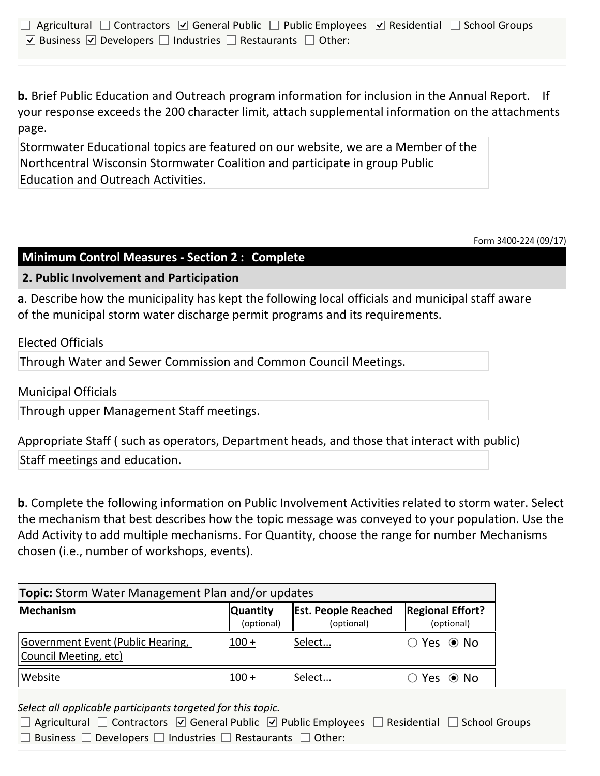| $\Box$ Agricultural $\Box$ Contractors $\boxdot$ General Public $\Box$ Public Employees $\boxdot$ Residential $\Box$ School Groups |  |
|------------------------------------------------------------------------------------------------------------------------------------|--|
| ○ Business ○ Developers □ Industries □ Restaurants □ Other:                                                                        |  |

**b.** Brief Public Education and Outreach program information for inclusion in the Annual Report. If your response exceeds the 200 character limit, attach supplemental information on the attachments page.

Stormwater Educational topics are featured on our website, we are a Member of the Northcentral Wisconsin Stormwater Coalition and participate in group Public Education and Outreach Activities.

Form 3400-224 (09/17)

## **Minimum Control Measures - Section 2 : Complete**

**2. Public Involvement and Participation**

**a**. Describe how the municipality has kept the following local officials and municipal staff aware of the municipal storm water discharge permit programs and its requirements.

Elected Officials

Through Water and Sewer Commission and Common Council Meetings.

Municipal Officials

Through upper Management Staff meetings.

Appropriate Staff ( such as operators, Department heads, and those that interact with public) Staff meetings and education.

**b**. Complete the following information on Public Involvement Activities related to storm water. Select the mechanism that best describes how the topic message was conveyed to your population. Use the Add Activity to add multiple mechanisms. For Quantity, choose the range for number Mechanisms chosen (i.e., number of workshops, events).

| <b>Topic:</b> Storm Water Management Plan and/or updates   |                               |                                          |                                       |  |  |
|------------------------------------------------------------|-------------------------------|------------------------------------------|---------------------------------------|--|--|
| Mechanism                                                  | <b>Quantity</b><br>(optional) | <b>Est. People Reached</b><br>(optional) | <b>Regional Effort?</b><br>(optional) |  |  |
| Government Event (Public Hearing,<br>Council Meeting, etc) | $100 +$                       | Select                                   | $\bigcirc$ Yes $\bigcirc$ No          |  |  |
| Website                                                    | 100 +                         | Select                                   | `Yes ◉ No                             |  |  |

*Select all applicable participants targeted for this topic.*

| $\Box$ Agricultural $\Box$ Contractors $\Box$ General Public $\Box$ Public Employees $\Box$ Residential $\Box$ School Groups |  |  |
|------------------------------------------------------------------------------------------------------------------------------|--|--|
| $\Box$ Business $\Box$ Developers $\Box$ Industries $\Box$ Restaurants $\Box$ Other:                                         |  |  |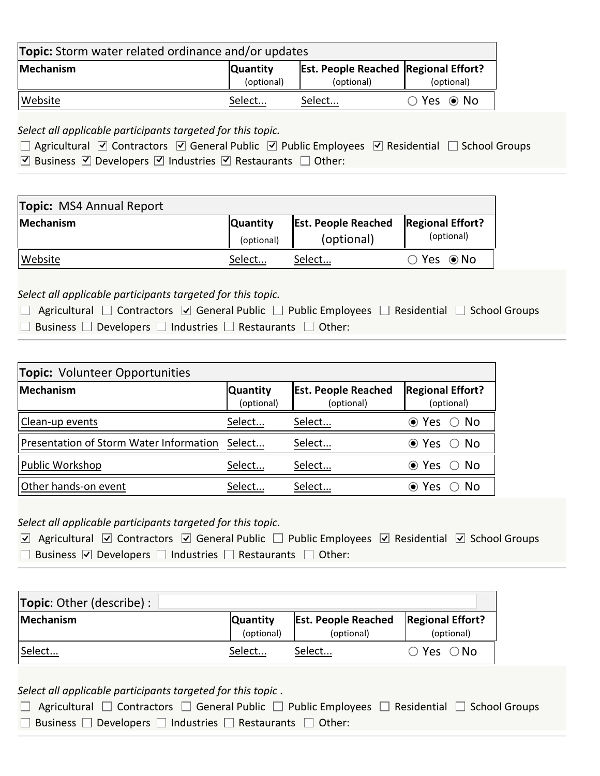| <b>Topic:</b> Storm water related ordinance and/or updates |                               |                                                           |                              |  |  |
|------------------------------------------------------------|-------------------------------|-----------------------------------------------------------|------------------------------|--|--|
| Mechanism                                                  | <b>Quantity</b><br>(optional) | <b>Est. People Reached Regional Effort?</b><br>(optional) | (optional)                   |  |  |
| Website                                                    | Select                        | Select                                                    | $\bigcirc$ Yes $\bigcirc$ No |  |  |

*Select all applicable participants targeted for this topic.*

|  |                                                             | $\Box$ Agricultural ⊠ Contractors ⊠ General Public ⊠ Public Employees ⊠ Residential $\Box$ School Groups |  |
|--|-------------------------------------------------------------|----------------------------------------------------------------------------------------------------------|--|
|  | ○ Business ○ Developers ○ Industries ○ Restaurants □ Other: |                                                                                                          |  |

| <b>Topic: MS4 Annual Report</b> |                               |                                          |                                       |
|---------------------------------|-------------------------------|------------------------------------------|---------------------------------------|
| Mechanism                       | <b>Quantity</b><br>(optional) | <b>Est. People Reached</b><br>(optional) | <b>Regional Effort?</b><br>(optional) |
| Website                         | Select                        | Select                                   | $\bigcirc$ Yes $\bigcirc$ No          |

## *Select all applicable participants targeted for this topic.*

| $\Box$ Agricultural $\Box$ Contractors $\Box$ General Public $\Box$ Public Employees $\Box$ Residential $\Box$ School Groups |  |
|------------------------------------------------------------------------------------------------------------------------------|--|
| $\Box$ Business $\Box$ Developers $\Box$ Industries $\Box$ Restaurants $\Box$ Other:                                         |  |

| <b>Topic: Volunteer Opportunities</b>          |                               |                                          |                                       |  |  |  |
|------------------------------------------------|-------------------------------|------------------------------------------|---------------------------------------|--|--|--|
| Mechanism                                      | <b>Quantity</b><br>(optional) | <b>Est. People Reached</b><br>(optional) | <b>Regional Effort?</b><br>(optional) |  |  |  |
| Clean-up events                                | Select                        | Select                                   | $\odot$ Yes $\odot$ No                |  |  |  |
| Presentation of Storm Water Information Select |                               | Select                                   | $\odot$ Yes $\odot$ No                |  |  |  |
| Public Workshop                                | Select                        | Select                                   | $\odot$ Yes $\odot$ No                |  |  |  |
| Other hands-on event                           | Select                        | Select                                   | .No<br>(●) Yes                        |  |  |  |

## *Select all applicable participants targeted for this topic*.

| <b><math>\triangledown</math></b> Agricultural $\triangledown$ Contractors $\triangledown$ General Public $\Box$ Public Employees $\triangledown$ Residential $\triangledown$ School Groups |  |
|---------------------------------------------------------------------------------------------------------------------------------------------------------------------------------------------|--|
| □ Business $\triangledown$ Developers □ Industries □ Restaurants □ Other:                                                                                                                   |  |

| Topic: Other (describe) : |                               |                                          |                                       |  |  |
|---------------------------|-------------------------------|------------------------------------------|---------------------------------------|--|--|
| <b>Mechanism</b>          | <b>Quantity</b><br>(optional) | <b>Est. People Reached</b><br>(optional) | <b>Regional Effort?</b><br>(optional) |  |  |
| Select                    | Select                        | Select                                   | $\bigcirc$ Yes $\bigcirc$ No          |  |  |

## *Select all applicable participants targeted for this topic .*

| □ Agricultural □ Contractors □ General Public □ Public Employees □ Residential □ School Groups |  |
|------------------------------------------------------------------------------------------------|--|
| $\Box$ Business $\Box$ Developers $\Box$ Industries $\Box$ Restaurants $\Box$ Other:           |  |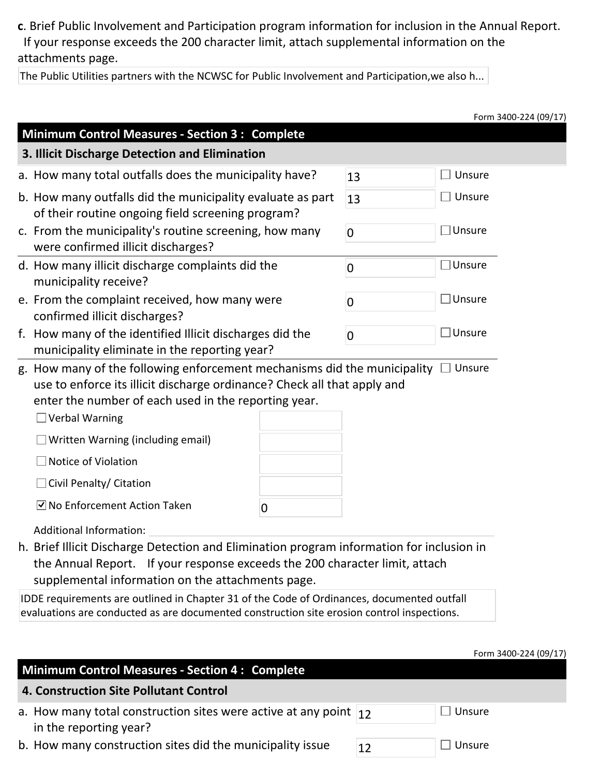**c**. Brief Public Involvement and Participation program information for inclusion in the Annual Report. If your response exceeds the 200 character limit, attach supplemental information on the attachments page.

The Public Utilities partners with the NCWSC for Public Involvement and Participation,we also h...

|                                                                             | Form 3400-224 (09/17)                                                                                                                                                                                              |
|-----------------------------------------------------------------------------|--------------------------------------------------------------------------------------------------------------------------------------------------------------------------------------------------------------------|
|                                                                             |                                                                                                                                                                                                                    |
|                                                                             |                                                                                                                                                                                                                    |
| 13                                                                          | Unsure<br>$\Box$                                                                                                                                                                                                   |
| 13                                                                          | $\Box$ Unsure                                                                                                                                                                                                      |
| $\overline{0}$                                                              | $\square$ Unsure                                                                                                                                                                                                   |
| 0                                                                           | $\Box$ Unsure                                                                                                                                                                                                      |
| $\boldsymbol{0}$                                                            | $\square$ Unsure                                                                                                                                                                                                   |
| $\overline{0}$                                                              | $\Box$ Unsure                                                                                                                                                                                                      |
|                                                                             |                                                                                                                                                                                                                    |
|                                                                             |                                                                                                                                                                                                                    |
|                                                                             |                                                                                                                                                                                                                    |
|                                                                             |                                                                                                                                                                                                                    |
|                                                                             |                                                                                                                                                                                                                    |
|                                                                             |                                                                                                                                                                                                                    |
|                                                                             | h. Brief Illicit Discharge Detection and Elimination program information for inclusion in                                                                                                                          |
| the Annual Report. If your response exceeds the 200 character limit, attach |                                                                                                                                                                                                                    |
|                                                                             | b. How many outfalls did the municipality evaluate as part<br>g. How many of the following enforcement mechanisms did the municipality<br>use to enforce its illicit discharge ordinance? Check all that apply and |

**4. Construction Site Pollutant Control**

| a. How many total construction sites were active at any point $\vert_{12}$ | $\Box$ Unsure |
|----------------------------------------------------------------------------|---------------|
| in the reporting year?                                                     |               |
|                                                                            |               |

b. How many construction sites did the municipality issue  $12$  Dunsure

| Unsur |
|-------|
|-------|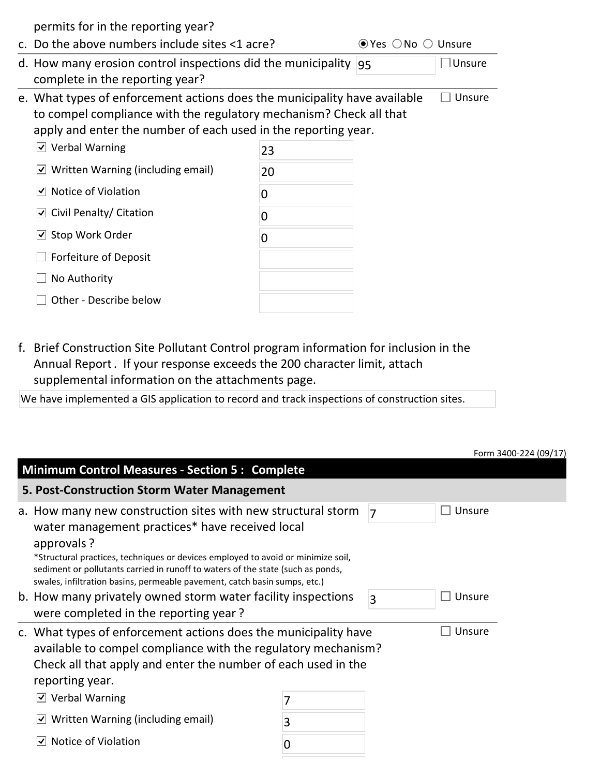permits for in the reporting year?

| c. Do the above numbers include sites <1 acre?                                                                                                                                                                    |    | $\odot$ Yes $\odot$ No $\odot$ Unsure |        |
|-------------------------------------------------------------------------------------------------------------------------------------------------------------------------------------------------------------------|----|---------------------------------------|--------|
| d. How many erosion control inspections did the municipality<br>complete in the reporting year?                                                                                                                   |    | 95                                    | Unsure |
| e. What types of enforcement actions does the municipality have available<br>to compel compliance with the regulatory mechanism? Check all that<br>apply and enter the number of each used in the reporting year. |    |                                       |        |
| $\vee$ Verbal Warning                                                                                                                                                                                             | 23 |                                       |        |
| $\vee$ Written Warning (including email)                                                                                                                                                                          | 20 |                                       |        |
| Notice of Violation<br>∣✔∣                                                                                                                                                                                        | 0  |                                       |        |
| $\vee$ Civil Penalty/ Citation                                                                                                                                                                                    | O  |                                       |        |
| $\vee$ Stop Work Order                                                                                                                                                                                            | 0  |                                       |        |
| Forfeiture of Deposit                                                                                                                                                                                             |    |                                       |        |
| No Authority                                                                                                                                                                                                      |    |                                       |        |
| Other - Describe below                                                                                                                                                                                            |    |                                       |        |

f. Brief Construction Site Pollutant Control program information for inclusion in the Annual Report . If your response exceeds the 200 character limit, attach supplemental information on the attachments page.

We have implemented a GIS application to record and track inspections of construction sites.

|                                                                                                                                                                                                                                                                                                                                                                                   |   |                |        | Form 3400-224 (09/17) |
|-----------------------------------------------------------------------------------------------------------------------------------------------------------------------------------------------------------------------------------------------------------------------------------------------------------------------------------------------------------------------------------|---|----------------|--------|-----------------------|
| <b>Minimum Control Measures - Section 5: Complete</b>                                                                                                                                                                                                                                                                                                                             |   |                |        |                       |
| 5. Post-Construction Storm Water Management                                                                                                                                                                                                                                                                                                                                       |   |                |        |                       |
| a. How many new construction sites with new structural storm<br>water management practices* have received local<br>approvals?<br>*Structural practices, techniques or devices employed to avoid or minimize soil,<br>sediment or pollutants carried in runoff to waters of the state (such as ponds,<br>swales, infiltration basins, permeable pavement, catch basin sumps, etc.) |   | $\overline{7}$ | Unsure |                       |
| b. How many privately owned storm water facility inspections<br>were completed in the reporting year?                                                                                                                                                                                                                                                                             |   | $\overline{3}$ | Unsure |                       |
| c. What types of enforcement actions does the municipality have<br>available to compel compliance with the regulatory mechanism?<br>Check all that apply and enter the number of each used in the<br>reporting year.                                                                                                                                                              |   |                | Unsure |                       |
| <b>Verbal Warning</b><br>$ \mathbf{v} $                                                                                                                                                                                                                                                                                                                                           |   |                |        |                       |
| Written Warning (including email)                                                                                                                                                                                                                                                                                                                                                 | 3 |                |        |                       |
| Notice of Violation                                                                                                                                                                                                                                                                                                                                                               | 0 |                |        |                       |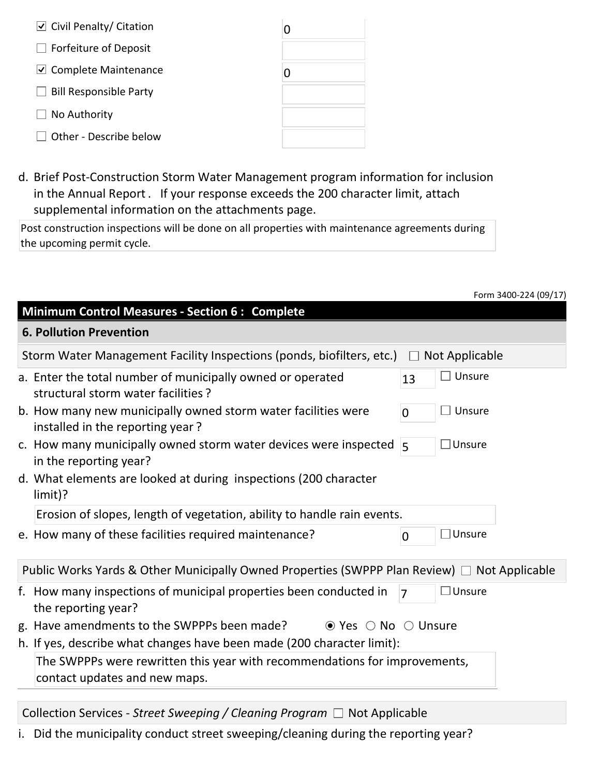| $\overline{\cup}$ Civil Penalty/ Citation |  |
|-------------------------------------------|--|
| $\Box$ Forfeiture of Deposit              |  |
| $\vee$ Complete Maintenance               |  |
| $\Box$ Bill Responsible Party             |  |
| $\Box$ No Authority                       |  |
| Other - Describe below                    |  |

d. Brief Post-Construction Storm Water Management program information for inclusion in the Annual Report . If your response exceeds the 200 character limit, attach supplemental information on the attachments page.

Post construction inspections will be done on all properties with maintenance agreements during the upcoming permit cycle.

|                                                                                                                     | Form 3400-224 (09/17) |
|---------------------------------------------------------------------------------------------------------------------|-----------------------|
| <b>Minimum Control Measures - Section 6: Complete</b>                                                               |                       |
| <b>6. Pollution Prevention</b>                                                                                      |                       |
| Storm Water Management Facility Inspections (ponds, biofilters, etc.) $\Box$                                        | Not Applicable        |
| a. Enter the total number of municipally owned or operated<br>13<br>structural storm water facilities ?             | Unsure                |
| b. How many new municipally owned storm water facilities were<br>$\overline{0}$<br>installed in the reporting year? | Unsure                |
| c. How many municipally owned storm water devices were inspected $\vert$ 5<br>in the reporting year?                | ⊥Unsure               |
| d. What elements are looked at during inspections (200 character<br>$limit$ $?$                                     |                       |
| Erosion of slopes, length of vegetation, ability to handle rain events.                                             |                       |
| e. How many of these facilities required maintenance?<br>$\mathbf 0$                                                | $\Box$ Unsure         |
| Public Works Yards & Other Municipally Owned Properties (SWPPP Plan Review) $\Box$ Not Applicable                   |                       |
| f. How many inspections of municipal properties been conducted in<br>$\overline{7}$<br>the reporting year?          | $\square$ Unsure      |
| g. Have amendments to the SWPPPs been made?<br>$\bullet$ Yes $\circ$ No $\circ$ Unsure                              |                       |
| h. If yes, describe what changes have been made (200 character limit):                                              |                       |
| The SWPPPs were rewritten this year with recommendations for improvements,<br>contact updates and new maps.         |                       |
|                                                                                                                     |                       |

Collection Services - *Street Sweeping / Cleaning Program* □ Not Applicable

i. Did the municipality conduct street sweeping/cleaning during the reporting year?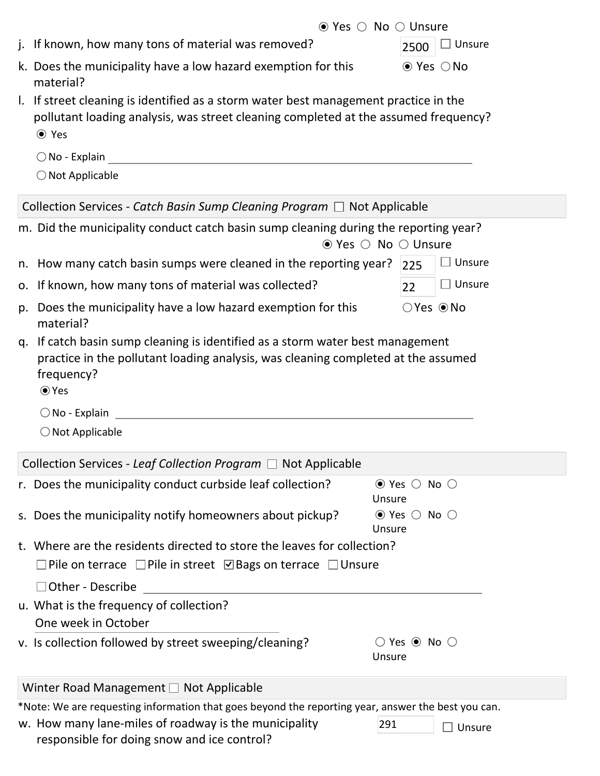| $\bullet$ Yes $\circ$ No $\circ$ Unsure                                                                                                                                                          |                                                       |                        |
|--------------------------------------------------------------------------------------------------------------------------------------------------------------------------------------------------|-------------------------------------------------------|------------------------|
| j. If known, how many tons of material was removed?                                                                                                                                              | 2500                                                  | Unsure                 |
| k. Does the municipality have a low hazard exemption for this<br>material?                                                                                                                       |                                                       | $\odot$ Yes $\odot$ No |
| I. If street cleaning is identified as a storm water best management practice in the<br>pollutant loading analysis, was street cleaning completed at the assumed frequency?<br>⊙ Yes             |                                                       |                        |
| $\bigcirc$ No - Explain                                                                                                                                                                          |                                                       |                        |
| $\bigcirc$ Not Applicable                                                                                                                                                                        |                                                       |                        |
| Collection Services - Catch Basin Sump Cleaning Program $\Box$ Not Applicable                                                                                                                    |                                                       |                        |
| m. Did the municipality conduct catch basin sump cleaning during the reporting year?<br>$\odot$ Yes $\odot$ No $\odot$ Unsure                                                                    |                                                       |                        |
| n. How many catch basin sumps were cleaned in the reporting year? $ 225 $                                                                                                                        |                                                       | $\exists$ Unsure       |
| o. If known, how many tons of material was collected?                                                                                                                                            | 22                                                    | $\Box$ Unsure          |
| p. Does the municipality have a low hazard exemption for this<br>material?                                                                                                                       | $\bigcirc$ Yes $\bigcirc$ No                          |                        |
| q. If catch basin sump cleaning is identified as a storm water best management<br>practice in the pollutant loading analysis, was cleaning completed at the assumed<br>frequency?<br>$\odot$ Yes |                                                       |                        |
|                                                                                                                                                                                                  |                                                       |                        |
| $\bigcirc$ No - Explain $\qquad \qquad$                                                                                                                                                          |                                                       |                        |
| $\bigcirc$ Not Applicable                                                                                                                                                                        |                                                       |                        |
| Collection Services - Leaf Collection Program □ Not Applicable                                                                                                                                   |                                                       |                        |
| r. Does the municipality conduct curbside leaf collection?                                                                                                                                       | $\odot$ Yes $\odot$<br>Unsure                         | No $\bigcirc$          |
| s. Does the municipality notify homeowners about pickup?                                                                                                                                         | $\odot$ Yes $\odot$ No $\odot$<br>Unsure              |                        |
| t. Where are the residents directed to store the leaves for collection?                                                                                                                          |                                                       |                        |
| Pile on terrace $\Box$ Pile in street $\Box$ Bags on terrace $\Box$ Unsure                                                                                                                       |                                                       |                        |
| □ Other - Describe                                                                                                                                                                               |                                                       |                        |
| u. What is the frequency of collection?                                                                                                                                                          |                                                       |                        |
| One week in October<br>v. Is collection followed by street sweeping/cleaning?                                                                                                                    | $\bigcirc$ Yes $\circledcirc$ No $\bigcirc$<br>Unsure |                        |
| Winter Road Management □ Not Applicable                                                                                                                                                          |                                                       |                        |
| *Note: We are requesting information that goes beyond the reporting year, answer the best you can.<br>w. How many lane-miles of roadway is the municipality<br>291                               |                                                       |                        |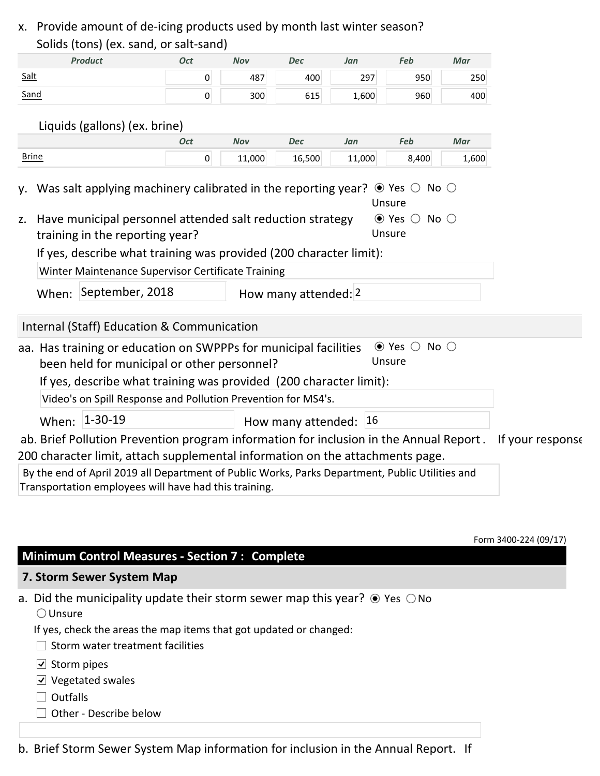## x. Provide amount of de-icing products used by month last winter season? Solids (tons) (ex. sand, or salt-sand)

|              | Solids (tons) (ex. sand, or sait-sand)                                                                                                                   |                |        |                           |        |                                          |       |                  |
|--------------|----------------------------------------------------------------------------------------------------------------------------------------------------------|----------------|--------|---------------------------|--------|------------------------------------------|-------|------------------|
|              | <b>Product</b>                                                                                                                                           | <b>Oct</b>     | Nov    | Dec                       | Jan    | Feb                                      | Mar   |                  |
| Salt         |                                                                                                                                                          | $\overline{0}$ | 487    | 400                       | 297    | 950                                      | 250   |                  |
| Sand         |                                                                                                                                                          | 0              | 300    | 615                       | 1,600  | 960                                      | 400   |                  |
|              |                                                                                                                                                          |                |        |                           |        |                                          |       |                  |
|              | Liquids (gallons) (ex. brine)                                                                                                                            |                |        |                           |        |                                          |       |                  |
|              |                                                                                                                                                          | <b>Oct</b>     | Nov    | Dec                       | Jan    | Feb                                      | Mar   |                  |
| <b>Brine</b> |                                                                                                                                                          | $\overline{0}$ | 11,000 | 16,500                    | 11,000 | 8,400                                    | 1,600 |                  |
|              | y. Was salt applying machinery calibrated in the reporting year? $\bullet$ Yes $\circ$ No $\circ$                                                        |                |        |                           |        |                                          |       |                  |
|              |                                                                                                                                                          |                |        |                           |        | Unsure                                   |       |                  |
| Z.           | Have municipal personnel attended salt reduction strategy                                                                                                |                |        |                           |        | $\odot$ Yes $\odot$ No $\odot$<br>Unsure |       |                  |
|              | training in the reporting year?                                                                                                                          |                |        |                           |        |                                          |       |                  |
|              | If yes, describe what training was provided (200 character limit):                                                                                       |                |        |                           |        |                                          |       |                  |
|              | Winter Maintenance Supervisor Certificate Training                                                                                                       |                |        |                           |        |                                          |       |                  |
|              | When: September, 2018                                                                                                                                    |                |        | How many attended: 2      |        |                                          |       |                  |
|              | Internal (Staff) Education & Communication                                                                                                               |                |        |                           |        |                                          |       |                  |
|              | aa. Has training or education on SWPPPs for municipal facilities<br>been held for municipal or other personnel?                                          |                |        |                           |        | $\odot$ Yes $\odot$ No $\odot$<br>Unsure |       |                  |
|              | If yes, describe what training was provided (200 character limit):                                                                                       |                |        |                           |        |                                          |       |                  |
|              | Video's on Spill Response and Pollution Prevention for MS4's.                                                                                            |                |        |                           |        |                                          |       |                  |
|              |                                                                                                                                                          |                |        |                           |        |                                          |       |                  |
|              | When: 1-30-19                                                                                                                                            |                |        | How many attended: $ 16 $ |        |                                          |       |                  |
|              | ab. Brief Pollution Prevention program information for inclusion in the Annual Report.                                                                   |                |        |                           |        |                                          |       | If your response |
|              | 200 character limit, attach supplemental information on the attachments page.                                                                            |                |        |                           |        |                                          |       |                  |
|              | By the end of April 2019 all Department of Public Works, Parks Department, Public Utilities and<br>Transportation employees will have had this training. |                |        |                           |        |                                          |       |                  |

Form 3400-224 (09/17)

### **Minimum Control Measures - Section 7 : Complete**

#### **7. Storm Sewer System Map**

- a. Did the municipality update their storm sewer map this year?  $\odot$  Yes  $\odot$  No  $\bigcirc$  Unsure
	- If yes, check the areas the map items that got updated or changed:
	- $\Box$  Storm water treatment facilities
	- $\overline{\cup}$  Storm pipes
	- $\overline{\vee}$  Vegetated swales
	- $\Box$  Outfalls
	- $\Box$  Other Describe below

b. Brief Storm Sewer System Map information for inclusion in the Annual Report. If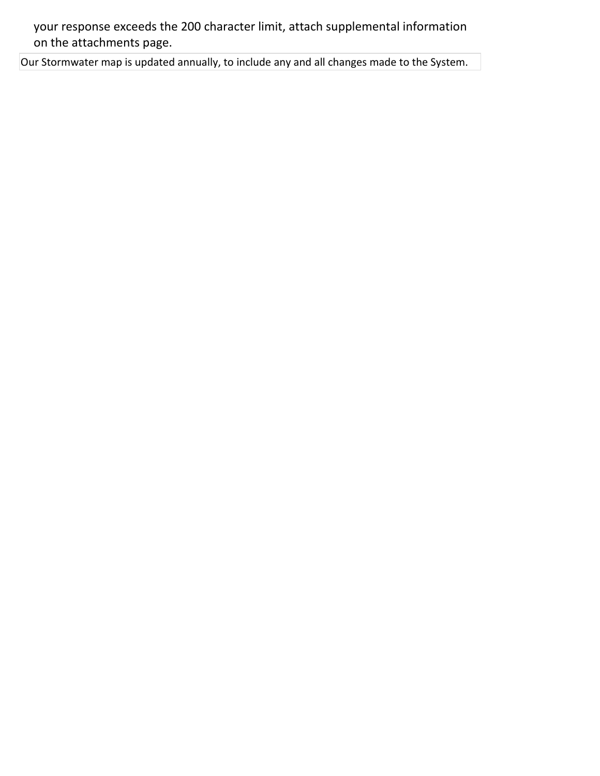your response exceeds the 200 character limit, attach supplemental information on the attachments page.

Our Stormwater map is updated annually, to include any and all changes made to the System.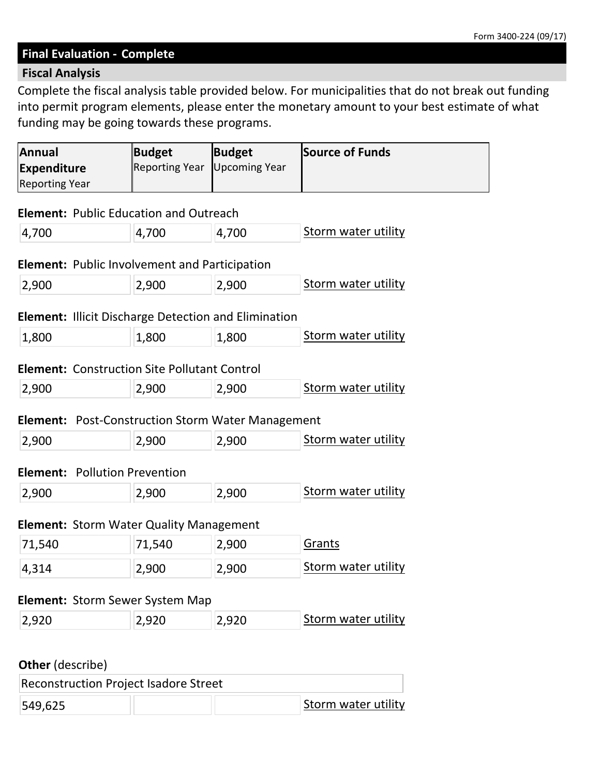#### **Final Evaluation - Complete**

## **Fiscal Analysis**

Complete the fiscal analysis table provided below. For municipalities that do not break out funding into permit program elements, please enter the monetary amount to your best estimate of what funding may be going towards these programs.

| <b>Annual</b><br><b>Expenditure</b><br><b>Reporting Year</b> | <b>Budget</b><br><b>Reporting Year</b>                      | <b>Budget</b><br><b>Upcoming Year</b> | Source of Funds            |
|--------------------------------------------------------------|-------------------------------------------------------------|---------------------------------------|----------------------------|
|                                                              | <b>Element: Public Education and Outreach</b>               |                                       |                            |
| 4,700                                                        | 4,700                                                       | 4,700                                 | <b>Storm water utility</b> |
|                                                              | <b>Element:</b> Public Involvement and Participation        |                                       |                            |
| 2,900                                                        | 2,900                                                       | 2,900                                 | Storm water utility        |
|                                                              | <b>Element: Illicit Discharge Detection and Elimination</b> |                                       |                            |
| 1,800                                                        | 1,800                                                       | 1,800                                 | Storm water utility        |
|                                                              | <b>Element: Construction Site Pollutant Control</b>         |                                       |                            |
| 2,900                                                        | 2,900                                                       | 2,900                                 | Storm water utility        |
|                                                              | <b>Element:</b> Post-Construction Storm Water Management    |                                       |                            |
| 2,900                                                        | 2,900                                                       | 2,900                                 | <b>Storm water utility</b> |
| <b>Element: Pollution Prevention</b>                         |                                                             |                                       |                            |
| 2,900                                                        | 2,900                                                       | 2,900                                 | Storm water utility        |
|                                                              |                                                             |                                       |                            |
| 71,540                                                       | <b>Element: Storm Water Quality Management</b><br>71,540    | 2,900                                 | Grants                     |
|                                                              |                                                             |                                       | Storm water utility        |
| 4,314                                                        | 2,900                                                       | 2,900                                 |                            |
|                                                              | <b>Element: Storm Sewer System Map</b>                      |                                       |                            |
|                                                              | 2,920                                                       | 2,920                                 | Storm water utility        |

549,625 **Storm water utility**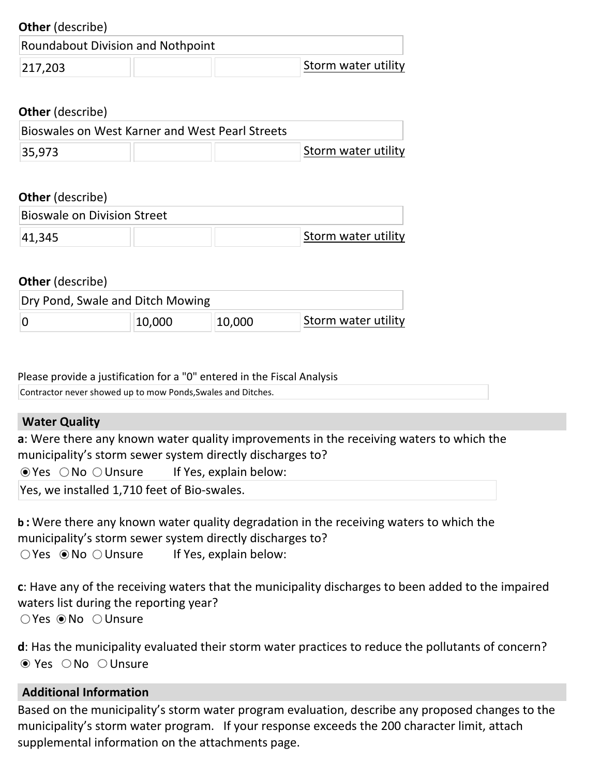| <b>Other</b> (describe)                         |                     |
|-------------------------------------------------|---------------------|
| Roundabout Division and Nothpoint               |                     |
| 217,203                                         | Storm water utility |
| <b>Other</b> (describe)                         |                     |
| Bioswales on West Karner and West Pearl Streets |                     |
| 35,973                                          | Storm water utility |

| <b>Other</b> (describe)     |  |                     |
|-----------------------------|--|---------------------|
| Bioswale on Division Street |  |                     |
| 41,345                      |  | Storm water utility |

| <b>Other</b> (describe) |                                  |        |                     |  |  |
|-------------------------|----------------------------------|--------|---------------------|--|--|
|                         | Dry Pond, Swale and Ditch Mowing |        |                     |  |  |
|                         | 10,000                           | 10,000 | Storm water utility |  |  |

Please provide a justification for a "0" entered in the Fiscal Analysis Contractor never showed up to mow Ponds,Swales and Ditches.

### **Water Quality**

**a**: Were there any known water quality improvements in the receiving waters to which the municipality's storm sewer system directly discharges to?

 $\odot$  Yes  $\odot$  No  $\odot$  Unsure If Yes, explain below:

Yes, we installed 1,710 feet of Bio-swales.

**b :** Were there any known water quality degradation in the receiving waters to which the municipality's storm sewer system directly discharges to?  $\bigcirc$  Yes  $\bigcirc$  No  $\bigcirc$  Unsure If Yes, explain below:

**c**: Have any of the receiving waters that the municipality discharges to been added to the impaired waters list during the reporting year?  $\bigcirc$  Yes  $\odot$  No  $\bigcirc$  Unsure

**d**: Has the municipality evaluated their storm water practices to reduce the pollutants of concern?  $\odot$  Yes  $\odot$  No  $\odot$  Unsure

### **Additional Information**

Based on the municipality's storm water program evaluation, describe any proposed changes to the municipality's storm water program. If your response exceeds the 200 character limit, attach supplemental information on the attachments page.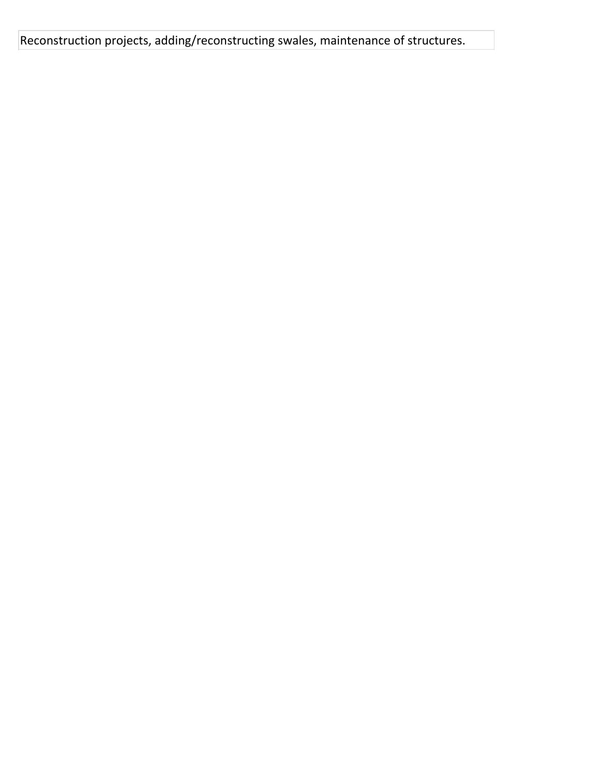Reconstruction projects, adding/reconstructing swales, maintenance of structures.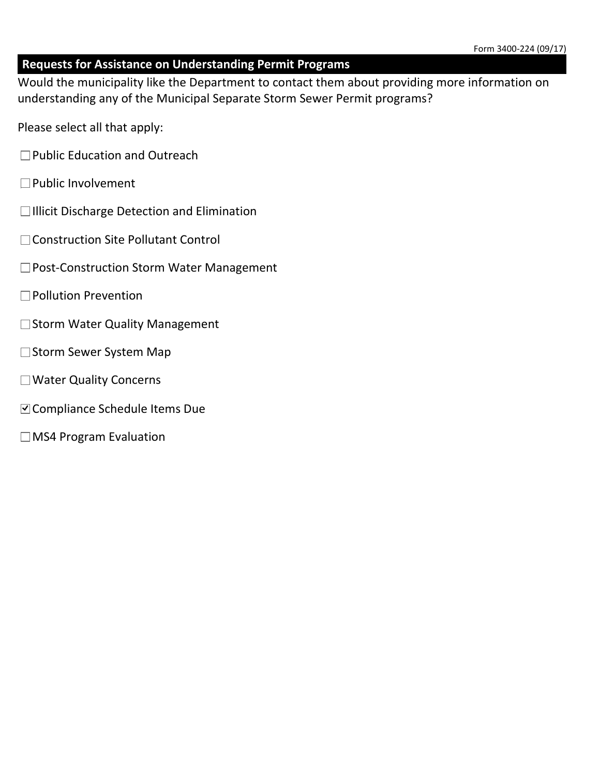## **Requests for Assistance on Understanding Permit Programs**

Would the municipality like the Department to contact them about providing more information on understanding any of the Municipal Separate Storm Sewer Permit programs?

- Please select all that apply:
- □Public Education and Outreach
- $\square$  Public Involvement
- $\Box$ Illicit Discharge Detection and Elimination
- Construction Site Pollutant Control
- □Post-Construction Storm Water Management
- □Pollution Prevention
- $\square$  Storm Water Quality Management
- □ Storm Sewer System Map
- Water Quality Concerns
- Compliance Schedule Items Due
- $\Box$ MS4 Program Evaluation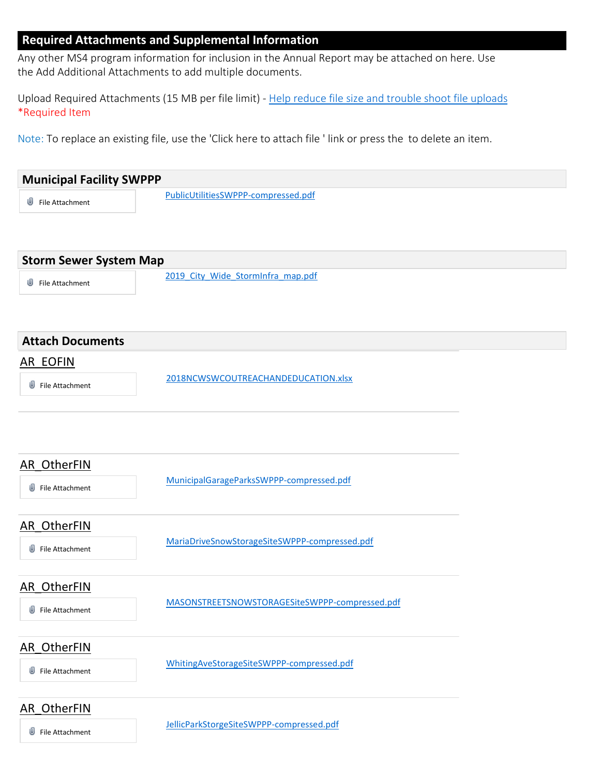#### **Required Attachments and Supplemental Information**

Any other MS4 program information for inclusion in the Annual Report may be attached on here. Use the Add Additional Attachments to add multiple documents.

Upload Required Attachments (15 MB per file limit) - Help reduce file size and trouble shoot file uploads \*Required Item

Note: To replace an existing file, use the 'Click here to attach file ' link or press the to delete an item.

| <b>Municipal Facility SWPPP</b>       |                                                |  |
|---------------------------------------|------------------------------------------------|--|
| File Attachment                       | PublicUtilitiesSWPPP-compressed.pdf            |  |
|                                       |                                                |  |
| <b>Storm Sewer System Map</b>         |                                                |  |
| ⋓<br>File Attachment                  | 2019 City Wide StormInfra map.pdf              |  |
| <b>Attach Documents</b>               |                                                |  |
| <b>AR EOFIN</b>                       |                                                |  |
| File Attachment                       | 2018NCWSWCOUTREACHANDEDUCATION.xlsx            |  |
| <b>AR_OtherFIN</b><br>File Attachment | MunicipalGarageParksSWPPP-compressed.pdf       |  |
| <b>AR OtherFIN</b>                    | MariaDriveSnowStorageSiteSWPPP-compressed.pdf  |  |
| File Attachment                       |                                                |  |
| <b>AR OtherFIN</b>                    |                                                |  |
| File Attachment                       | MASONSTREETSNOWSTORAGESiteSWPPP-compressed.pdf |  |
| AR_OtherFIN                           |                                                |  |
| <b>U</b> File Attachment              | WhitingAveStorageSiteSWPPP-compressed.pdf      |  |
| <b>AR OtherFIN</b>                    |                                                |  |
| File Attachment                       | JellicParkStorgeSiteSWPPP-compressed.pdf       |  |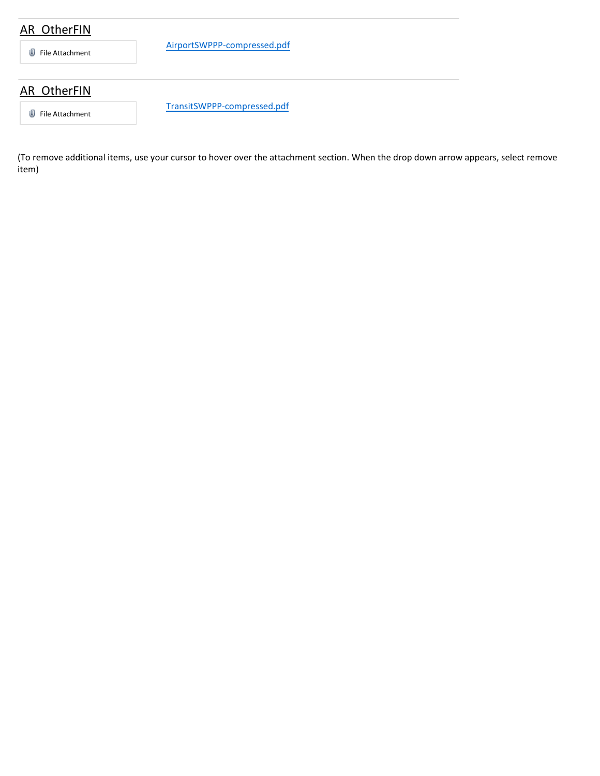## AR\_OtherFIN

File Attachment

AirportSWPPP-compressed.pdf

# AR\_OtherFIN

**J** File Attachment

TransitSWPPP-compressed.pdf

(To remove additional items, use your cursor to hover over the attachment section. When the drop down arrow appears, select remove item)